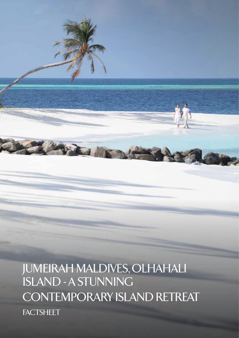JUMEIRAH MALDIVES, OLHAHALI ISLAND - A STUNNING CONTEMPORARY ISLAND RETREAT **FACTSHEET** 

AND SHARPS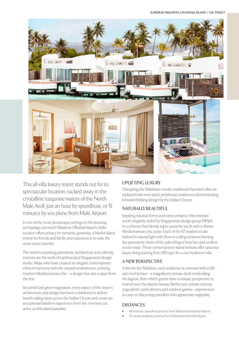

This all-villa luxury resort stands out for its spectacular location, tucked away in the crystalline turquoise waters of the North Malé Atoll, just an hour by speedboat, or 15 minutes by sea plane from Malé Airport.

In one of the most picturesque settings in this stunning archipelago, Jumeirah Maldives Olhahali Island's idyllic location offers privacy for romantic getaways, a blissful island retreat for friends and family and experiences to suite the more active traveller.

The resort's surprising panoramic architecture and calming interiors are the work of sophisticated Singaporean design studio, Miaja, who have created an elegant contemporary ethos in harmony with the natural environment, echoing modern Mediterranean chic – a design that sets it apart from the rest.

Set amid lush green vegetation, every aspect of the resort's architecture and design has been considered to deliver breath-taking vistas across the Indian Ocean and create an exceptional barefoot experience from the moment you arrive on this island paradise.

## **UPLIFTING LUXURY**

Disrupting the Maldivian mould, traditional thatched villas are replaced with over-sized, penthouse residences demonstrating forward-thinking design for the Indian Ocean.

## **NATURALLY BEAUTIFUL**

Inspiring nautical forms and tones enhance this intimate resort elegantly styled by Singaporean design group MIAJA, in a scheme that blends super panache yacht with a vibrant Mediterranean chic pulse. Each of the 67 residences are bathed in natural light with floor to ceiling windows framing the panoramic views of the palm fringed beaches and endless ocean vistas. These contemporary island retreats offer spacious luxury living starting from 350 sqm for a one-bedroom villa.

## **A NEW PERSPECTIVE**

A first for the Maldives, each residence is crowned with a 120 sqm roof terrace - a magnificent private deck overlooking the lagoon, from which guests have a unique perspective to marvel over the island's beauty. Barbecues, private cinema, yoga plinth, starlit dinners and outdoor games - experiences to cater to discerning travellers who appreciate originality.

## **DISTANCES**

- 60-minute speedboat journey from Velana International Airport
- 15-minute seaplane journey from Velana International Airport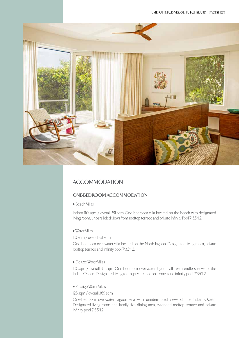

# ACCOMMODATION

## **ONE-BEDROOM ACCOMMODATION**

• Beach Villas

Indoor 110 sqm / overall 351 sqm One-bedroom villa located on the beach with designated living room, unparalleled views from rooftop terrace and private Infinity Pool 7\*3.5\*1.2.

• Water Villas

#### 110 sqm / overall 351 sqm

One-bedroom over-water villa located on the North lagoon. Designated living room, private rooftop terrace and infinity pool 7\*3.5\*1.2.

• Deluxe Water Villas

110 sqm / overall 351 sqm One-bedroom over-water lagoon villa with endless views of the Indian Ocean. Designated living room, private rooftop terrace and infinity pool 7\*3.5\*1.2.

• Prestige Water Villas

128 sqm / overall 369 sqm

One-bedroom over-water lagoon villa with uninterrupted views of the Indian Ocean. Designated living room and family size dining area, extended rooftop terrace and private infinity pool 7\*3.5\*1.2.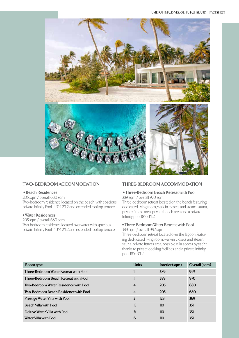

#### **TWO- BEDROOM ACCOMMODATION**

#### **• Beach Residences**

205 sqm / overall 680 sqm Two-bedroom residence located on the beach, with spacious private Infinity Pool 14.3\*4.2\*1.2 and extended rooftop terrace.

#### **• Water Residences**

205 sqm / overall 680 sqm Two-bedroom residence located overwater with spacious private Infinity Pool 14.3\*4.2\*1.2 and extended rooftop terrace.

#### **THREE- BEDROOM ACCOMMODATION**

#### **• Three-Bedroom Beach Retreat with Pool** 389 sqm / overall 970 sqm

Three-bedroom retreat located on the beach featuring dedicated living room, walk-in closets and steam, sauna, private fitness area, private beach area and a private Infinity pool 18\*6.3\*1.2.

## **• Three-Bedroom Water Retreat with Pool**

#### 389 sqm / overall 997 sqm

Three-bedroom retreat located over the lagoon featuring ded-icated living room, walk-in closets and steam, sauna, private fitness area, possible villa access by yacht thanks to private docking facilities and a private Infinity pool  $18*6.3*12$ 

| Room type                                    | <b>Units</b>   | Interior (sqm) | Overall (sqm) |
|----------------------------------------------|----------------|----------------|---------------|
| <b>Three-Bedroom Water Retreat with Pool</b> |                | 389            | 997           |
| <b>Three-Bedroom Beach Retreat with Pool</b> |                | 389            | 970           |
| <b>Two-Bedroom Water Residence with Pool</b> | $\overline{4}$ | 205            | 680           |
| <b>Two-Bedroom Beach Residence with Pool</b> | $\overline{4}$ | 205            | 680           |
| <b>Prestige Water Villa with Pool</b>        | 5              | 128            | 369           |
| <b>Beach Villa with Pool</b>                 | 15             | 110            | 351           |
| Deluxe Water Villa with Pool                 | 31             | 110            | 351           |
| Water Villa with Pool                        | 6              | 110            | 351           |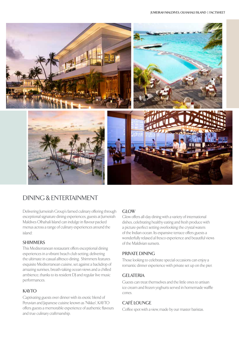

# DINING & ENTERTAINMENT

Delivering Jumeirah Group's famed culinary offering through exceptional signature dining experiences, guests at Jumeirah Maldives Olhahali Island can indulge in flavour-packed menus across a range of culinary experiences around the island:

## **SHIMMERS**

This Mediterranean restaurant offers exceptional dining experiences in a vibrant beach club setting, delivering the ultimate in casual alfresco dining. Shimmers features exquisite Mediterranean cuisine, set against a backdrop of amazing sunrises, breath-taking ocean views and a chilled ambience, thanks to its resident DJ and regular live music performances.

# **KAYTO**

Captivating guests over dinner with its exotic blend of Peruvian and Japanese cuisine known as 'Nikkei', KAYTO offers guests a memorable experience of authentic flavours and true culinary craftmanship.

## **GLOW**

Glow offers all-day dining with a variety of international dishes, celebrating healthy eating and fresh produce with a picture-perfect setting overlooking the crystal waters of the Indian ocean. Its expansive terrace offers guests a wonderfully relaxed al fresco experience and beautiful views of the Maldivian sunsets.

## **PRIVATE DINING**

Those looking to celebrate special occasions can enjoy a romantic dinner experience with private set up on the pier.

## **GELATERIA**

Guests can treat themselves and the little ones to artisan ice cream and frozen yoghurts served in homemade waffle cones.

# **CAFÉ LOUNGE**

Coffee spot with a view, made by our master baristas.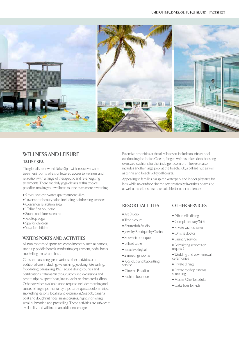

# **WELLNESS AND LEISURE**

#### **TALISE SPA**

The globally renowned Talise Spa, with its six overwater treatment rooms, offers unfettered access to wellness and relaxation with a range of therapeutic and re-energising treatments. There are daily yoga classes at this tropical paradise, making your wellness routine even more rewarding.

- 5 exclusive overwater spa treatment villas
- 1 overwater beauty salon including hairdressing services
- Common relaxation area
- 1 Talise Spa boutique
- Sauna and fitness centre
- Rooftop yoga
- Spa for children
- Yoga for children

#### **WATERSPORTS AND ACTIVITIES**

All non-motorised sports are complimentary such as canoes, stand-up paddle boards, windsurfing equipment, pedal boats, snorkelling (mask and fins).

Guest can also engage in various other activities at an additional cost including: waterskiing, jet-skiing, kite surfing, flyboarding, parasailing, PADI scuba diving courses and certifications, catamaran trips, customised excursions and private trips by speedboat, luxury yacht or characterful dhoni.. Other activities available upon request include: morning and sunset fishing trips, manta ray trips, turtle quests, dolphin trips, snorkelling lessons, local island excursions, Seabob, banana boat and doughnut rides, sunset cruises, night snorkelling, semi- submarine and parasailing. These activities are subject to availability and will incurr an additional charge.

Extensive amenities at the all-villa resort include an infinity pool overlooking the Indian Ocean, fringed with a sunken deck boasting oversized cushions for that indulgent comfort. The resort also includes another large pool at the beachclub, a billiard hut, as well as tennis and beach volleyball courts.

Appealing to families is a splash waterpark and indoor play area for kids, while an outdoor cinema screens family favourites beachside as well as blockbusters more suitable for older audiences.

#### **RESORT FACILITES**

- Art Studio
- Tennis court
- Shutterfish Studio
- Jewelry Boutique by Orofini
- Souvenir boutique
- Billiard table
- Beach volleyball
- 2 meetings rooms
- Kids club and babysitting service
- Cinema Paradiso
- Fashion boutique
- Babysitting service (on request)

**OTHER SERVICES**

• 24h in-villa dining • Complimentary Wi-Fi • Private yacht charter • On-site doctor • Laundry service

- Wedding and vow-renewal ceremonies
- Private dining
- Private rooftop cinema screening
- Master Chef for adults
- Cake boss for kids